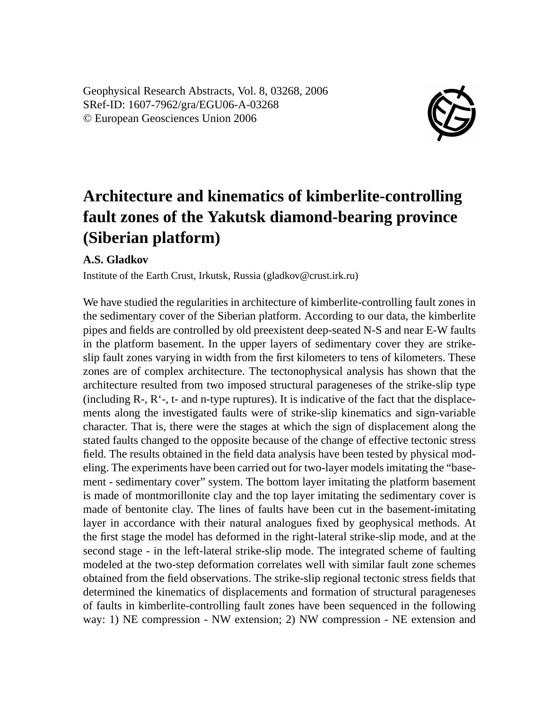Geophysical Research Abstracts, Vol. 8, 03268, 2006 SRef-ID: 1607-7962/gra/EGU06-A-03268 © European Geosciences Union 2006



## **Architecture and kinematics of kimberlite-controlling fault zones of the Yakutsk diamond-bearing province (Siberian platform)**

**A.S. Gladkov**

Institute of the Earth Crust, Irkutsk, Russia (gladkov@crust.irk.ru)

We have studied the regularities in architecture of kimberlite-controlling fault zones in the sedimentary cover of the Siberian platform. According to our data, the kimberlite pipes and fields are controlled by old preexistent deep-seated N-S and near E-W faults in the platform basement. In the upper layers of sedimentary cover they are strikeslip fault zones varying in width from the first kilometers to tens of kilometers. These zones are of complex architecture. The tectonophysical analysis has shown that the architecture resulted from two imposed structural parageneses of the strike-slip type (including R-, R'-, t- and n-type ruptures). It is indicative of the fact that the displacements along the investigated faults were of strike-slip kinematics and sign-variable character. That is, there were the stages at which the sign of displacement along the stated faults changed to the opposite because of the change of effective tectonic stress field. The results obtained in the field data analysis have been tested by physical modeling. The experiments have been carried out for two-layer models imitating the "basement - sedimentary cover" system. The bottom layer imitating the platform basement is made of montmorillonite clay and the top layer imitating the sedimentary cover is made of bentonite clay. The lines of faults have been cut in the basement-imitating layer in accordance with their natural analogues fixed by geophysical methods. At the first stage the model has deformed in the right-lateral strike-slip mode, and at the second stage - in the left-lateral strike-slip mode. The integrated scheme of faulting modeled at the two-step deformation correlates well with similar fault zone schemes obtained from the field observations. The strike-slip regional tectonic stress fields that determined the kinematics of displacements and formation of structural parageneses of faults in kimberlite-controlling fault zones have been sequenced in the following way: 1) NE compression - NW extension; 2) NW compression - NE extension and